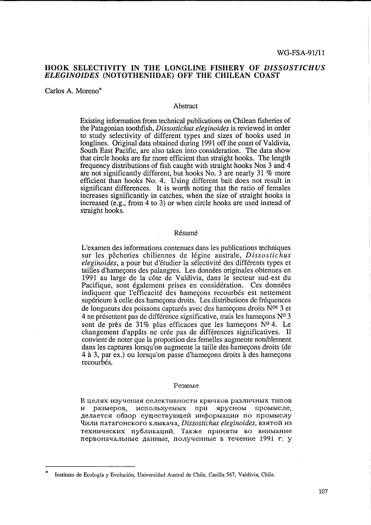# **HOOK SELECTIVITY IN THE LONGLINE FISHERY OF** *DISSOSTICHUS ELEGINOIDES* **(NOTOTHENIIDAE) OFF THE CHILEAN COAST**

Carlos A. Moreno\*

#### Abstract

Existing information from technical publications on Chilean fisheries of the Patagonian toothfish, *Dissostichus eleginoides* is reviewed in order to study selectivity of different types and sizes of hooks used in longlines. Original data obtained during 1991 off the coast of Valdivia, South East Pacific, are also taken into consideration. The data show that circle hooks are far more efficient than straight hooks. The length frequency distributions of fish caught with straight hooks Nos 3 and 4 are not significantly different, but hooks No. 3 are nearly 31 % more efficient than hooks No. 4. Using different bait does not result in significant differences. It is worth noting that the ratio of females increases significantly in catches, when the size of straight hooks is increased (e.g., from 4 to 3) or when circle hooks are used instead of straight hooks.

#### Résumé

L'examen des informations contenues dans les publications techniques sur les pecheries chiliennes de legine australe, *Dissostichus eleginoides,* a pour but d'etudier la selectivite des differents types et tailles d'hameçons des palangres. Les données originales obtenues en 1991 au large de la côte de Valdivia, dans le secteur sud-est du Pacifique, sont également prises en considération. Ces données indiquent que l'efficacité des hameçons recourbés est nettement supérieure à celle des hameçons droits. Les distributions de fréquences de longueurs des poissons capturés avec des hameçons droits N<sup>os</sup> 3 et 4 ne présentent pas de différence significative, mais les hameçons  $N^{\circ}$  3. sont de près de  $31\%$  plus efficaces que les hameçons N° 4. Le changement d'appâts ne crée pas de différences significatives. Il convient de noter que la proportion des femelles augmente notablement dans les captures lorsqu'on augmente la taille des hameçons droits (de 4 à 3, par ex.) ou lorsqu'on passe d'hameçons droits à des hameçons recourbés.

#### Резюме

В целях изучения селективности крючков различных типов размеров, используемых при ярусном промысле, делается обзор существующей информации по промыслу Чили патагонского клыкача, *Dissostichus eleginoides*, взятой из технических публикаций. Также приняты во внимание первоначальные данные, полученные в течение 1991 г. у

<sup>\*</sup> Instituto de Ecologfa y Evoluci6n, Universidad Austral de Chile, Casilla 567, Valdivia, Chile.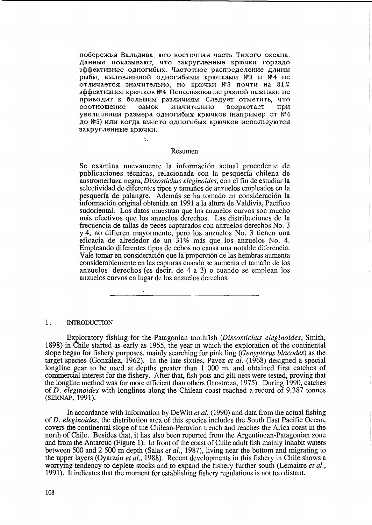побережья Вальдива, юго-восточная часть Тихого океана. Данные показывают, что закругленные крючки гораздо эффективнее одногибых. Частотное распределение длины рыбы, выловленной одногибыми крючками №3 и №4 не отличается значительно, но крючки №3 почти на 31% эффективнее крючков №4. Использование разной наживки не приводит к большим различиям. Следует отметить, что соотношение самок значительно возрастает при увеличении размера одногибых крючков (например от №4 до №3) или когда вместо одногибых крючков используются закругленные крючки.

#### Resumen

 $\mathbf{A}^{\pm}$ 

Se examina nuevamente la información actual procedente de publicaciones técnicas, relacionada con la pesquería chilena de austromerluza negra, Dissostichus eleginoides, con el fin de estudiar la selectividad de diferentes tipos y tamaños de anzuelos empleados en la pesquería de palangre. Además se ha tomado en consideración la información original obtenida en 1991 a la altura de Valdivia, Pacífico sudoriental. Los datos muestran que los anzuelos curvos son mucho más efectivos que los anzuelos derechos. Las distribuciones de la frecuencia de tallas de peces capturados con anzuelos derechos No. 3 y 4, no difieren mayormente, pero los anzuelos No. 3 tienen una eficacia de alrededor de un 31% más que los anzuelos No. 4. Empleando diferentes tipos de cebos no causa una notable diferencia. Vale tomar en consideración que la proporción de las hembras aumenta considerablemente en las capturas cuando se aumenta el tamaño de los anzuelos derechos (es decir, de 4 a 3) o cuando se emplean los anzuelos curvos en lugar de los anzuelos derechos.

#### $1.$ **INTRODUCTION**

Exploratory fishing for the Patagonian toothfish (Dissostichus eleginoides, Smith, 1898) in Chile started as early as 1955, the year in which the exploration of the continental slope began for fishery purposes, mainly searching for pink ling (Genypterus blacodes) as the target species (González, 1962). In the late sixties, Pavez et al.  $(1968)$  designed a special longline gear to be used at depths greater than 1 000 m, and obtained first catches of commercial interest for the fishery. After that, fish pots and gill nets were tested, proving that the longline method was far more efficient than others (Inostroza, 1975). During 1990, catches of D. eleginoides with longlines along the Chilean coast reached a record of 9.387 tonnes (SERNAP, 1991).

In accordance with information by DeWitt *et al.* (1990) and data from the actual fishing of *D. eleginoides*, the distribution area of this species includes the South East Pacific Ocean, covers the continental slope of the Chilean-Peruvian trench and reaches the Arica coast in the north of Chile. Besides that, it has also been reported from the Argentinean-Patagonian zone and from the Antarctic (Figure 1). In front of the coast of Chile adult fish mainly inhabit waters between 500 and 2 500 m depth (Salas *et al.*, 1987), living near the bottom and migrating to the upper layers (Oyarzún et al., 1988). Recent developments in this fishery in Chile shows a worrying tendency to deplete stocks and to expand the fishery further south (Lemaitre et al., 1991). It indicates that the moment for establishing fishery regulations is not too distant.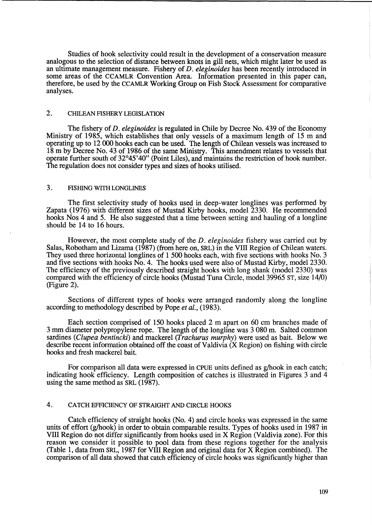Studies of hook selectivity could result in the development of a conservation measure analogous to the selection of distance between knots in gill nets, which might later be used as an ultimate management measure. Fishery of *D. eleginoides* has been recently introduced in some areas of the CCAMLR Convention Area. Information presented in this paper can, therefore, be used by the CCAMLR Working Group on Fish Stock Assessment for comparative analyses.

# 2. CHILEAN FISHERY LEGISLATION

The fishery of D. *eleginoides* is regulated in Chile by Decree No. 439 of the Economy Ministry of 1985, which establishes that only vessels of a maximum length of 15 m and operating up to 12 000 hooks each can be used. The length of Chilean vessels was increased to 18 m by Decree No. 43 of 1986 of the same Ministry. This amendment relates to vessels that operate further south of 32°45'40" (Point Liles), and maintains the restriction of hook number. The regulation does not consider types and sizes of hooks utilised.

## 3. FISHING WITH LONGLINES

The first selectivity study of hooks used in deep-water longlines was performed by Zapata (1976) with different sizes of Mustad Kirby hooks, model 2330. He recommended hooks Nos 4 and 5. He also suggested that a time between setting and hauling of a longline should be 14 to 16 hours.

However, the most complete study of the D. *eleginoides* fishery was carried out by Salas, Robotham and Lizama (1987) (from here on, SRL) in the VIII Region of Chilean waters. They used three horizontal longlines of 1 500 hooks each, with five sections with hooks No. 3 and five sections with hooks No. 4. The hooks used were also of Mustad Kirby, model 2330. The efficiency of the previously described straight hooks with long shank (model 2330) was compared with the efficiency of circle hooks (Mustad Tuna Circle, model 39965 ST, size 14/0) (Figure 2).

Sections of different types of hooks were arranged randomly along the longline according to methodology described by Pope *et al., (1983).* 

Each section comprised of 150 hooks placed 2 m apart on 60 cm branches made of 3 mm diameter polypropylene rope. The length of the longline was 3 080 m. Salted common sardines *(Clupea bentincki)* and mackerel *(Trachurus murphy)* were used as bait. Below we describe recent information obtained off the coast of Valdivia (X Region) on fishing with circle hooks and fresh mackerel bait.

For comparison all data were expressed in CPUE units defined as g/hook in each catch; indicating hook efficiency. Length composition of catches is illustrated in Figures 3 and 4 using the same method as SRL (1987).

## 4. CATCH EFFICIENCY OF STRAIGHT AND CIRCLE HOOKS

Catch efficiency of straight hooks (No. 4) and circle hooks was expressed in the same units of effort (g/hook) in order to obtain comparable results. Types of hooks used in 1987 in VIII Region do not differ significantly from hooks used in X Region (Valdivia zone). For this reason we consider it possible to pool data from these regions together for the analysis (Table 1, data from SRL, 1987 for VIII Region and original data for X Region combined). The comparison of all data showed that catch efficiency of circle hooks was significantly higher than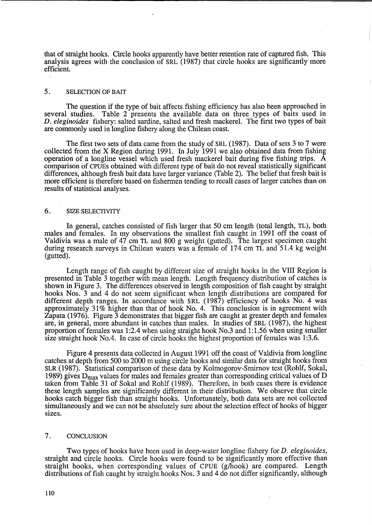that of straight hooks. Circle hooks apparently have better retention rate of captured fish. This analysis agrees with the conclusion of SRL (1987) that circle hooks are significantly more efficient.

#### 5. SELECTION OF BAIT

The question if the type of bait affects fishing efficiency has also been approached in several studies. Table 2 presents the available data on three types of baits used in Table 2 presents the available data on three types of baits used in *D. eleginoides* fishery: salted sardine, salted and fresh mackerel. The first two types of bait are commonly used in longline fishery along the Chilean coast.

The first two sets of data came from the study of SRL (1987). Data of sets 3 to 7 were collected from the X Region during 1991. In July 1991 we also obtained data from fishing operation of a longline vessel which used fresh mackerel bait during five fishing trips. A comparison of CPUEs obtained with different type of bait do not reveal statistically significant differences, although fresh bait data have larger variance (Table 2). The belief that fresh bait is more efficient is therefore based on fishermen tending to recall cases of larger catches than on results of statistical analyses.

#### 6. SIZE SELECTIVITY

In general, catches consisted of fish larger that 50 cm length (total length, TL), both males and females. In my observations the smallest fish caught in 1991 off the coast of Valdivia was a male of 47 cm TL and 800 g weight (gutted). The largest specimen caught during research surveys in Chilean waters was a female of 174 cm TL and 51.4 kg weight (gutted).

Length range of fish caught by different size of straight hooks in the VIII Region is presented in Table 3 together with mean length. Length frequency distribution of catches is shown in Figure 3. The differences observed in length composition of fish caught by straight hooks Nos. 3 and 4 do not seem significant when length distributions are compared for different depth ranges. In accordance with SRL (1987) efficiency of hooks No. 4 was approximately 31% higher than that of hook No. 4. This conclusion is in agreement with Zapata (1976). Figure 3 demonstrates that bigger fish are caught at greater depth and females are, in general, more abundant in catches than males. In studies of SRL (1987), the highest proportion of females was 1:2.4 when using straight hook No.3 and 1:1.56 when using smaller size straight hook No.4. In case of circle hooks the highest proportion of females was 1:3.6.

Figure 4 presents data collected in August 1991 off the coast of Valdivia from longline catches at depth from 500 to 2000 m using circle hooks and similar data for straight hooks from SLR (1987). Statistical comparison of these data by Kolmogorov-Smirnov test (Rohlf, Sokal, 1989) gives  $D_{\text{max}}$  values for males and females greater than corresponding critical values of D taken from Table 31 of Sokal and Rohlf (1989). Therefore, in both cases there is evidence these length samples are significantly different in their distribution. We observe that circle hooks catch bigger fish than straight hooks. Unfortunately, both data sets are not collected simultaneously and we can not be absolutely sure about the selection effect of hooks of bigger sizes.

### 7. CONCLUSION

Two types of hooks have been used in deep-water longline fishery for *D. eleginoides*, straight and circle hooks. Circle hooks were found to be significantly more effective than straight hooks, when corresponding values of CPUE (g/hook) are compared. Length distributions of fish caught by straight hooks Nos. 3 and 4 do not differ significantly, although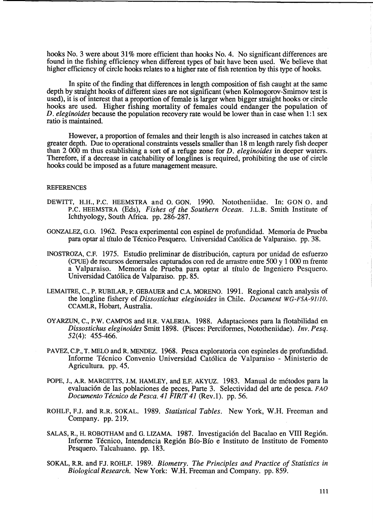hooks No. 3 were about 31% more efficient than hooks No. 4. No significant differences are found in the fishing efficiency when different types of bait have been used. We believe that higher efficiency of circle hooks relates to a higher rate of fish retention by this type of hooks.

In spite of the finding that differences in length composition of fish caught at the same depth by straight hooks of different sizes are not significant (when Kolmogorov-Smirnov test is used), it is of interest that a proportion of female is larger when bigger straight hooks or circle hooks are used. Higher fishing mortality of females could endanger the population of *D. eleginoides* because the population recovery rate would be lower than in case when 1:1 sex ratio is maintained.

However, a proportion of females and their length is also increased in catches taken at greater depth. Due to operational constraints vessels smaller than 18 m length rarely fish deeper than 2 000 m thus establishing a sort of a refuge zone for *D. eleginoides* in deeper waters. Therefore, if a decrease in catchability of longlines is required, prohibiting the use of circle hooks could be imposed as a future management measure.

#### **REFERENCES**

- DEWITT, H.H., P.C. HEEMSTRA and o. GON. 1990. Nototheniidae. In: GON O. and P.C. HEEMSTRA (Eds), *Fishes of the Southern Ocean.* J.L.B. Smith Institute of Ichthyology, South Africa. pp. 286-287.
- GONZALEZ, G.O. 1962. Pesca experimental con espinel de profundidad. Memoria de Prueba para optar al título de Técnico Pesquero. Universidad Católica de Valparaiso. pp. 38.
- INOSTROZA, C.P. 1975. Estudio preliminar de distribucion, captura por unidad de esfuerzo (CPUE) de recursos demersales capturados con red de arrastre entre 500 y 1 000 m frente a Valparaiso. Memoria de Prueba para optar al titulo de Ingeniero Pesquero. Universidad Catolica de Valparaiso. pp. 85.
- LEMAITRE, C., P. RUBILAR, P. GEBAUER and C.A. MORENO. 1991. Regional catch analysis of the longline fishery of *Dissostichus eleginoides* in Chile. *Document WG-FSA-91!10.*  CCAMLR, Hobart, Australia.
- OYARZUN, C., P.W. CAMPOS and H.R. VALERIA. 1988. Adaptaciones para la flotabilidad en *Dissostichus eleginoides* Smitt 1898. (Pisces: Perciformes, Nototheniidae). *Inv. Pesq.*  52(4): 455-466.
- PAVEZ, C.P., T. MELO and R. MENDEZ. 1968. Pesca exploratoria con espineles de profundidad. Informe Tecnico Convenio Universidad Catolica de Valparaiso - Ministerio de Agricultura. pp. 45.
- POPE, J., A.R. MARGETTS, J.M. HAMLEY, and E.F. AKYUZ. 1983. Manual de métodos para la evaluacion de las poblaciones de peces, Parte 3. Selectividad del arte de pesca. *FAO Documento Técnico de Pesca. 41 FIR/T 41* (Rev.1). pp. 56.
- ROHLF, F.J. and R.R. SOKAL. 1989. *Statistical Tables.* New York, W.H. Freeman and Company. pp. 219.
- SALAS, R., H. ROBOTHAM and G. LIZAMA. 1987. Investigación del Bacalao en VIII Región. Informe Técnico, Intendencia Región Bío-Bío e Instituto de Instituto de Fomento Pesquero. Talcahuano. pp. 183.
- SOKAL, RR and FJ. ROHLF. 1989. *Biometry. The Principles and Practice of Statistics in Biological Research.* New York: W.H. Freeman and Company. pp. 859.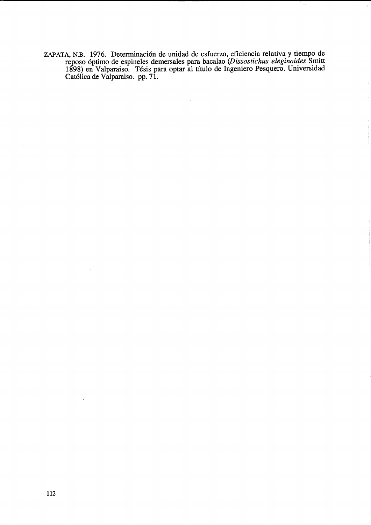ZAPATA, N.B. 1976. Determinaci6n de unidad de esfuerzo, eficiencia relativa y tiempo de reposo 6ptimo de espineles demersales para bacalao *(Dissostichus eleginoides* Smitt 1898) en Valparaiso. Tesis para optar al titulo de Ingeniero Pesquero. Universidad Cat6lica de Valparaiso. pp. 71.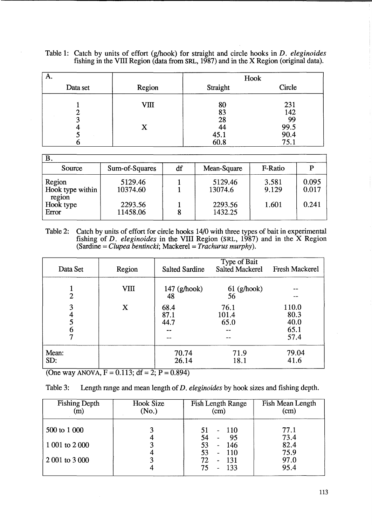| Table 1: Catch by units of effort (g/hook) for straight and circle hooks in <i>D. eleginoides</i> |  |
|---------------------------------------------------------------------------------------------------|--|
| fishing in the VIII Region (data from SRL, 1987) and in the X Region (original data).             |  |

| Α.       |                       | Hook                                 |                                          |
|----------|-----------------------|--------------------------------------|------------------------------------------|
| Data set | Region                | Straight                             | Circle                                   |
|          | V <sub>III</sub><br>X | 80<br>83<br>28<br>44<br>45.1<br>60.8 | 231<br>142<br>99<br>99.5<br>90.4<br>75.1 |

| $\bf{B}$                   |                |    |             |         |       |
|----------------------------|----------------|----|-------------|---------|-------|
| Source                     | Sum-of-Squares | df | Mean-Square | F-Ratio |       |
| Region                     | 5129.46        |    | 5129.46     | 3.581   | 0.095 |
| Hook type within<br>region | 10374.60       |    | 13074.6     | 9.129   | 0.017 |
| Hook type                  | 2293.56        |    | 2293.56     | 1.601   | 0.241 |
| Error                      | 11458.06       |    | 1432.25     |         |       |

Table 2: Catch by units of effort for circle hooks 14/0 with three types of bait in experimental fishing of *D. eleginoides* in the VIII Region (SRL, 1987) and in the X Region (Sardine = *Clupea bentincki;* Mackerel = *Trachurus murphy).* 

| Data Set                           | Region      | <b>Salted Sardine</b> | Type of Bait<br><b>Salted Mackerel</b> | <b>Fresh Mackerel</b>                 |
|------------------------------------|-------------|-----------------------|----------------------------------------|---------------------------------------|
| $\overline{2}$                     | <b>VIII</b> | $147$ (g/hook)<br>48  | $61$ (g/hook)<br>56                    |                                       |
| 3<br>4<br>5<br>6<br>$\overline{7}$ | X           | 68.4<br>87.1<br>44.7  | 76.1<br>101.4<br>65.0                  | 110.0<br>80.3<br>40.0<br>65.1<br>57.4 |
| Mean:<br>SD:                       |             | 70.74<br>26.14        | 71.9<br>18.1                           | 79.04<br>41.6                         |

(One way ANOVA,  $F = 0.113$ ;  $df = 2$ ;  $P = 0.894$ )

| Table 3: |  | Length range and mean length of <i>D. eleginoides</i> by hook sizes and fishing depth. |
|----------|--|----------------------------------------------------------------------------------------|
|          |  |                                                                                        |

| Fishing Depth  | Hook Size<br>(No.) | Fish Length Range<br>(cm)                      | Fish Mean Length<br>(cm) |
|----------------|--------------------|------------------------------------------------|--------------------------|
| 500 to 1 000   |                    | $-110$<br>51<br>54<br>-95<br>$\blacksquare$    | 77.1<br>73.4             |
| 1 001 to 2 000 |                    | 53<br>146<br>$\sim$<br>53<br>$-110$            | 82.4<br>75.9             |
| 2 001 to 3 000 |                    | 72<br>-131<br>$\blacksquare$<br>75<br>133<br>- | 97.0<br>95.4             |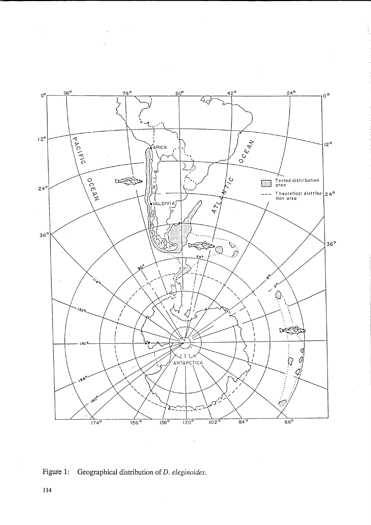

 $\sim$ 

 $\bar{z}$ 

 $\ddot{\phantom{0}}$ 

# Figure 1: Geographical distribution of  $D$ . eleginoides.

114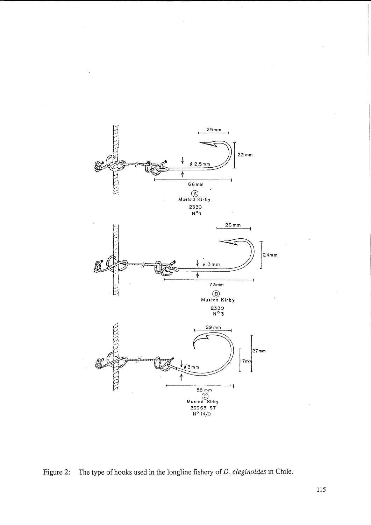

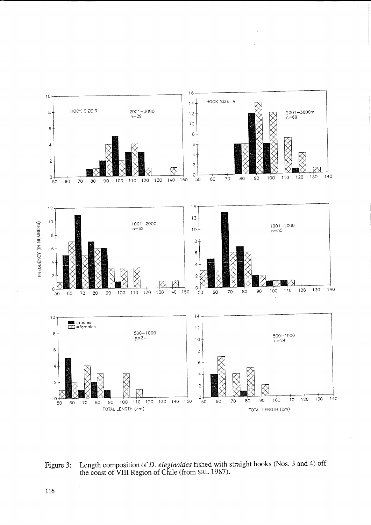

 $\ddot{\phantom{0}}$ 

**Figure 3: Length composition of** *D. eleginoides* **fished with straight hooks (Nos. 3 and 4) off the coast of VIII Region of Chile (from SRL 1987).** 

**116**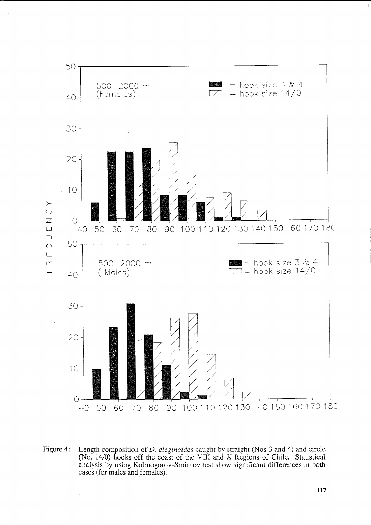

**Figure 4: Length composition of** *D. eleginoides* **caught by straight (Nos 3 and 4) and circle (No. 14/0) hooks off the coast of the VIII and X Regions of Chile. Statistical analysis by using Kolmogorov-Smirnov test show significant differences in both cases (for males and females).**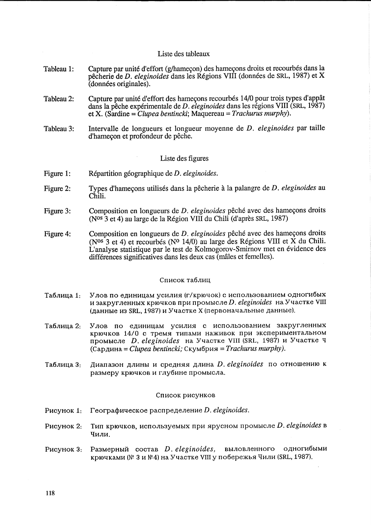#### Liste des tableaux

- Tableau 1: Capture par unité d'effort (g/hameçon) des hameçons droits et recourbés dans la pecherie de *D. eleginoides* dans les Regions VIII (donnees de SRL, 1987) et X (donnees originales).
- Tableau 2: Capture par unité d'effort des hameçons recourbés 14/0 pour trois types d'appât dans la pêche expérimentale de *D. eleginoides* dans les régions VIII (SRL, 1987) et X. (Sardine = *Clupea bentincki*; Maquereau = *Trachurus murphy*).
- Tableau 3: Intervalle de longueurs et longueur moyenne de *D. eleginoides* par taille d'hamecon et profondeur de pêche.

#### Liste des figures

- Figure 1: Repartition geographique de *D. eleginoides.*
- Figure 2: Types d'hameçons utilisés dans la pêcherie à la palangre de *D. eleginoides* au  $Chi$ .
- Figure 3: Composition en longueurs de *D. eleginoides* pêché avec des hameçons droits (N0S 3 et 4) au large de la Region VIII du Chili (d'apres SRL, 1987)
- Figure 4: Composition en longueurs de *D. eleginoides* pêché avec des hameçons droits (N<sup>os 3</sup> et 4) et recourbés (N<sup>o</sup> 14/0) au large des Régions VIII et  $\dot{X}$  du Chili. L'analyse statistique par le test de Kolmogorov-Smirnov met en evidence des différences significatives dans les deux cas (mâles et femelles).

#### Список таблиц

- Таблица 1: Улов по единицам усилия (г/крючок) с использованием одногибых  $H$  закругленных крючков при промысле *D. eleginoides* на Участке VIII (данные из SRL, 1987) и Участке X (первоначальные данные).
- Таблица 2: Улов по единицам усилия с использованием закругленных крючков 14/0 с тремя типами наживок при экспериментальном npOMbICJIe *D. eleginoides* Ha YtIaCTKe VIII (SRL, 1987) H YtIaCTKe II (Сардина = *Clupea bentincki*; Скумбрия = *Trachurus murphy*).
- Таблица 3: Диапазон длины и средняя длина *D. eleginoides* по отношению к размеру крючков и глубине промысла.

#### Список рисунков

- Pисунок 1: Географическое распределение *D. eleginoides*.
- PHCYHOK 2: ТИП Крючков, ИСПОЛЬЗУЕМЫХ ПрИ Ярусном промысле *D. eleginoides* в Чили.
- Pucyнок 3: Размерный состав *D. eleginoides*, выловленного одногибыми крючками (№ 3 и №4) на Участке VIII у побережья Чили (SRL, 1987).